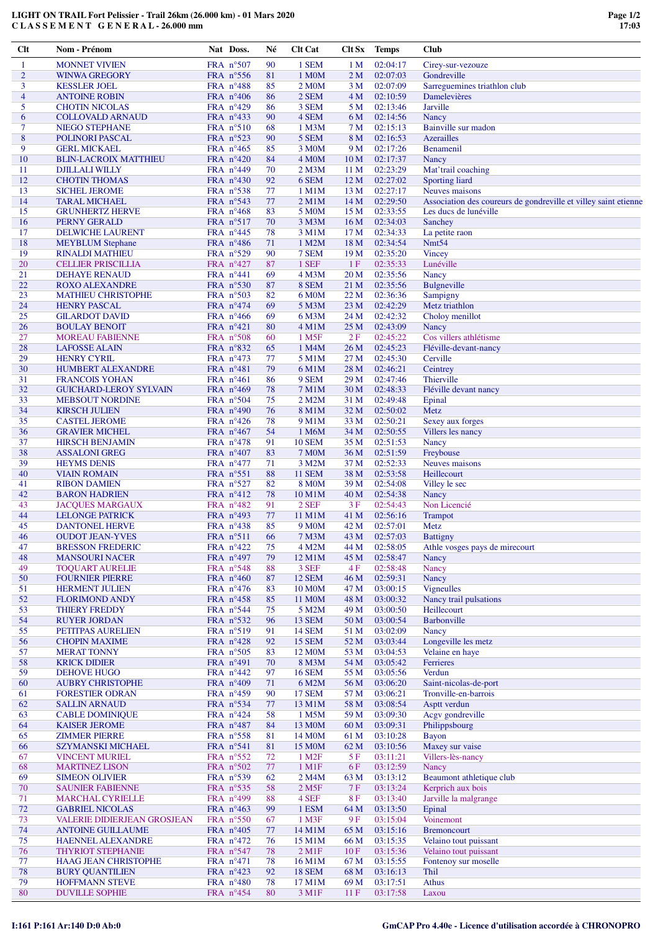| Clt            | Nom - Prénom                       | Nat Doss.           | Né | <b>Clt Cat</b>      | Clt Sx          | <b>Temps</b> | <b>Club</b>                                                     |
|----------------|------------------------------------|---------------------|----|---------------------|-----------------|--------------|-----------------------------------------------------------------|
| $\mathbf{1}$   | <b>MONNET VIVIEN</b>               | FRA n°507           | 90 | 1 SEM               | 1 <sub>M</sub>  | 02:04:17     | Cirey-sur-vezouze                                               |
| $\overline{c}$ | <b>WINWA GREGORY</b>               | FRA $n^{\circ}$ 556 | 81 | 1 M <sub>0</sub> M  | 2 <sub>M</sub>  | 02:07:03     | Gondreville                                                     |
| 3              | <b>KESSLER JOEL</b>                | FRA $n^{\circ}488$  | 85 | 2 M <sub>0</sub> M  | 3 M             | 02:07:09     | Sarreguemines triathlon club                                    |
| $\overline{4}$ | <b>ANTOINE ROBIN</b>               | FRA $n^{\circ}406$  | 86 | $2$ SEM             | 4 M             | 02:10:59     | Damelevières                                                    |
| 5              | <b>CHOTIN NICOLAS</b>              | FRA n°429           | 86 | 3 SEM               | 5 M             | 02:13:46     | Jarville                                                        |
| 6              | <b>COLLOVALD ARNAUD</b>            | FRA $n^{\circ}433$  | 90 | 4 SEM               | 6 M             | 02:14:56     | Nancy                                                           |
| 7              |                                    |                     |    |                     |                 | 02:15:13     | Bainville sur madon                                             |
|                | <b>NIEGO STEPHANE</b>              | FRA $n^{\circ}510$  | 68 | 1 M <sub>3</sub> M  | 7 M             |              |                                                                 |
| 8              | POLINORI PASCAL                    | FRA $n^{\circ}523$  | 90 | 5 SEM               | 8 M             | 02:16:53     | Azerailles                                                      |
| 9              | <b>GERL MICKAEL</b>                | FRA $n^{\circ}465$  | 85 | 3 M <sub>0</sub> M  | 9 M             | 02:17:26     | <b>Benamenil</b>                                                |
| 10             | <b>BLIN-LACROIX MATTHIEU</b>       | FRA n°420           | 84 | 4 M <sub>O</sub> M  | 10 <sub>M</sub> | 02:17:37     | Nancy                                                           |
| 11             | <b>DJILLALI WILLY</b>              | FRA $n^{\circ}449$  | 70 | 2 M <sub>3</sub> M  | 11 M            | 02:23:29     | Mat'trail coaching                                              |
| 12             | <b>CHOTIN THOMAS</b>               | FRA n°430           | 92 | 6 SEM               | 12 <sub>M</sub> | 02:27:02     | Sporting liard                                                  |
| 13             | <b>SICHEL JEROME</b>               | FRA $n^{\circ}$ 538 | 77 | 1 M1M               | 13 M            | 02:27:17     | Neuves maisons                                                  |
| 14             | <b>TARAL MICHAEL</b>               | FRA $n^{\circ}543$  | 77 | $2$ M $1$ M         | 14 <sub>M</sub> | 02:29:50     | Association des coureurs de gondreville et villey saint etienne |
| 15             | <b>GRUNHERTZ HERVE</b>             | FRA $n^{\circ}468$  | 83 | 5 M0M               | 15 M            | 02:33:55     | Les ducs de lunéville                                           |
| 16             | PERNY GERALD                       | FRA $n^{\circ}517$  | 70 | 3 M3M               | 16 <sub>M</sub> | 02:34:03     | Sanchey                                                         |
| 17             | DELWICHE LAURENT                   | FRA $n^{\circ}445$  | 78 | 3 M1M               | 17 <sub>M</sub> | 02:34:33     | La petite raon                                                  |
| 18             | <b>MEYBLUM</b> Stephane            | FRA $n^{\circ}486$  | 71 | 1 M2M               | 18 M            | 02:34:54     | Nmt54                                                           |
| 19             | <b>RINALDI MATHIEU</b>             | FRA $n^{\circ}529$  | 90 | 7 SEM               | 19 <sub>M</sub> | 02:35:20     | <b>Vincey</b>                                                   |
| 20             | <b>CELLIER PRISCILLIA</b>          | FRA $n^{\circ}427$  | 87 | 1 SEF               | 1F              | 02:35:33     | Lunéville                                                       |
|                |                                    |                     |    |                     |                 |              |                                                                 |
| 21             | <b>DEHAYE RENAUD</b>               | FRA $n^{\circ}441$  | 69 | 4 M3M               | 20 M            | 02:35:56     | Nancy                                                           |
| 22             | <b>ROXO ALEXANDRE</b>              | FRA $n^{\circ}530$  | 87 | 8 SEM               | 21 M            | 02:35:56     | Bulgneville                                                     |
| 23             | <b>MATHIEU CHRISTOPHE</b>          | FRA $n^{\circ}503$  | 82 | 6 M <sub>0</sub> M  | 22 M            | 02:36:36     | Sampigny                                                        |
| 24             | <b>HENRY PASCAL</b>                | FRA $n^{\circ}474$  | 69 | 5 M3M               | 23 M            | 02:42:29     | Metz triathlon                                                  |
| 25             | <b>GILARDOT DAVID</b>              | FRA n°466           | 69 | 6 M3M               | 24 M            | 02:42:32     | Choloy menillot                                                 |
| 26             | <b>BOULAY BENOIT</b>               | FRA $n^{\circ}421$  | 80 | 4 M1M               | 25 M            | 02:43:09     | Nancy                                                           |
| 27             | <b>MOREAU FABIENNE</b>             | FRA $n^{\circ}508$  | 60 | 1 M <sub>5F</sub>   | 2F              | 02:45:22     | Cos villers athlétisme                                          |
| 28             | <b>LAFOSSE ALAIN</b>               | FRA $n^{\circ}832$  | 65 | 1 M4M               | 26 M            | 02:45:23     | Fléville-devant-nancy                                           |
| 29             | <b>HENRY CYRIL</b>                 | FRA $n^{\circ}473$  | 77 | 5 M1M               | 27 M            | 02:45:30     | Cerville                                                        |
| 30             | <b>HUMBERT ALEXANDRE</b>           | FRA $n^{\circ}481$  | 79 | 6 M1M               | 28 M            | 02:46:21     | Ceintrey                                                        |
| 31             | <b>FRANCOIS YOHAN</b>              | FRA $n^{\circ}461$  | 86 | 9 SEM               | 29 M            | 02:47:46     | Thierville                                                      |
| 32             | <b>GUICHARD-LEROY SYLVAIN</b>      | FRA $n^{\circ}469$  | 78 | 7 M1M               | 30 <sub>M</sub> | 02:48:33     | Fléville devant nancy                                           |
| 33             | <b>MEBSOUT NORDINE</b>             | FRA $n^{\circ}504$  | 75 | 2 M2M               | 31 M            | 02:49:48     | Epinal                                                          |
| 34             | <b>KIRSCH JULIEN</b>               | FRA n°490           | 76 | 8 M1M               | 32 M            | 02:50:02     | Metz                                                            |
| 35             | <b>CASTEL JEROME</b>               | FRA $n^{\circ}426$  | 78 | 9 M1M               | 33 M            | 02:50:21     | Sexey aux forges                                                |
| 36             | <b>GRAVIER MICHEL</b>              | FRA $n^{\circ}467$  | 54 | 1 M6M               | 34 M            | 02:50:55     | Villers les nancy                                               |
| 37             |                                    | FRA $n^{\circ}478$  | 91 | <b>10 SEM</b>       | 35 M            | 02:51:53     |                                                                 |
|                | <b>HIRSCH BENJAMIN</b>             |                     |    |                     |                 |              | Nancy                                                           |
| 38             | <b>ASSALONI GREG</b>               | FRA $n^{\circ}407$  | 83 | <b>7 MOM</b>        | 36 M            | 02:51:59     | Freybouse                                                       |
| 39             | <b>HEYMS DENIS</b>                 | FRA $n^{\circ}477$  | 71 | 3 M2M               | 37 M            | 02:52:33     | Neuves maisons                                                  |
| 40             | <b>VIAIN ROMAIN</b>                | FRA $n^{\circ}551$  | 88 | <b>11 SEM</b>       | 38 M            | 02:53:58     | Heillecourt                                                     |
| 41             | <b>RIBON DAMIEN</b>                | FRA $n^{\circ}527$  | 82 | 8 M <sub>0</sub> M  | 39 M            | 02:54:08     | Villey le sec                                                   |
| 42             | <b>BARON HADRIEN</b>               | FRA $n^{\circ}412$  | 78 | 10 M1M              | 40 M            | 02:54:38     | Nancy                                                           |
| 43             | <b>JACQUES MARGAUX</b>             | FRA $n^{\circ}482$  | 91 | 2 SEF               | 3F              | 02:54:43     | Non Licencié                                                    |
| 44             | <b>LELONGE PATRICK</b>             | FRA $n^{\circ}493$  | 77 | 11 M1M              | 41 M            | 02:56:16     | <b>Trampot</b>                                                  |
| 45             | <b>DANTONEL HERVE</b>              | FRA $n^{\circ}438$  | 85 | 9 M <sub>0</sub> M  | 42 M            | 02:57:01     | Metz                                                            |
| 46             | <b>OUDOT JEAN-YVES</b>             | FRA $n^{\circ}511$  | 66 | 7 M3M               | 43 M            | 02:57:03     | <b>Battigny</b>                                                 |
| 47             | <b>BRESSON FREDERIC</b>            | FRA $n^{\circ}422$  | 75 | 4 M2M               | 44 M            | 02:58:05     | Athle vosges pays de mirecourt                                  |
| 48             | <b>MANSOURI NACER</b>              | FRA n°497           | 79 | 12 M1M              | 45 M            | 02:58:47     | Nancy                                                           |
| 49             | <b>TOQUART AURELIE</b>             | FRA $n^{\circ}548$  | 88 | 3 SEF               | 4 F             | 02:58:48     | Nancy                                                           |
| 50             | <b>FOURNIER PIERRE</b>             | FRA $n^{\circ}460$  | 87 | <b>12 SEM</b>       | 46 M            | 02:59:31     | Nancy                                                           |
| 51             | <b>HERMENT JULIEN</b>              | FRA $n^{\circ}476$  | 83 | 10 M <sub>O</sub> M | 47 M            | 03:00:15     | <b>Vigneulles</b>                                               |
| 52             | <b>FLORIMOND ANDY</b>              | FRA n°458           | 85 | 11 M <sub>0</sub> M | 48 M            | 03:00:32     | Nancy trail pulsations                                          |
| 53             | <b>THIERY FREDDY</b>               | FRA $n^{\circ}$ 544 | 75 | 5 M2M               | 49 M            | 03:00:50     | Heillecourt                                                     |
| 54             | <b>RUYER JORDAN</b>                | FRA n°532           | 96 | <b>13 SEM</b>       | 50 M            | 03:00:54     | Barbonville                                                     |
| 55             | PETITPAS AURELIEN                  | FRA n°519           | 91 | <b>14 SEM</b>       | 51 M            | 03:02:09     | Nancy                                                           |
| 56             | <b>CHOPIN MAXIME</b>               | FRA n°428           | 92 | <b>15 SEM</b>       | 52 M            | 03:03:44     | Longeville les metz                                             |
|                | <b>MERAT TONNY</b>                 | FRA n°505           |    |                     |                 |              |                                                                 |
| 57             |                                    |                     | 83 | 12 M <sub>0</sub> M | 53 M            | 03:04:53     | Velaine en haye                                                 |
| 58             | <b>KRICK DIDIER</b>                | FRA n°491           | 70 | 8 M3M               | 54 M            | 03:05:42     | Ferrieres                                                       |
| 59             | DEHOVE HUGO                        | FRA $n^{\circ}442$  | 97 | <b>16 SEM</b>       | 55 M            | 03:05:56     | Verdun                                                          |
| 60             | <b>AUBRY CHRISTOPHE</b>            | FRA $n^{\circ}409$  | 71 | 6 M2M               | 56 M            | 03:06:20     | Saint-nicolas-de-port                                           |
| 61             | <b>FORESTIER ODRAN</b>             | FRA $n^{\circ}459$  | 90 | <b>17 SEM</b>       | 57 M            | 03:06:21     | Tronville-en-barrois                                            |
| 62             | <b>SALLIN ARNAUD</b>               | FRA n°534           | 77 | 13 M1M              | 58 M            | 03:08:54     | Asptt verdun                                                    |
| 63             | <b>CABLE DOMINIQUE</b>             | FRA n°424           | 58 | 1 M5M               | 59 M            | 03:09:30     | Acgv gondreville                                                |
| 64             | <b>KAISER JEROME</b>               | FRA $n^{\circ}487$  | 84 | 13 M <sub>0</sub> M | 60 M            | 03:09:31     | Philippsbourg                                                   |
| 65             | <b>ZIMMER PIERRE</b>               | FRA n°558           | 81 | 14 M <sub>O</sub> M | 61 M            | 03:10:28     | <b>Bayon</b>                                                    |
| 66             | <b>SZYMANSKI MICHAEL</b>           | FRA n°541           | 81 | 15 M0M              | 62 M            | 03:10:56     | Maxey sur vaise                                                 |
| 67             | <b>VINCENT MURIEL</b>              | FRA $n^{\circ}552$  | 72 | 1 M <sub>2F</sub>   | 5 F             | 03:11:21     | Villers-lès-nancy                                               |
| 68             | <b>MARTINEZ LISON</b>              | FRA n°502           | 77 | $1$ M $1$ F         | <b>6F</b>       | 03:12:59     | Nancy                                                           |
| 69             | <b>SIMEON OLIVIER</b>              | FRA n°539           | 62 | 2 M4M               | 63 M            | 03:13:12     | Beaumont athletique club                                        |
| 70             | <b>SAUNIER FABIENNE</b>            | FRA n°535           | 58 | 2 M <sub>5F</sub>   | 7F              | 03:13:24     | Kerprich aux bois                                               |
| 71             | <b>MARCHAL CYRIELLE</b>            | FRA $n^{\circ}499$  | 88 | 4 SEF               | <b>8F</b>       | 03:13:40     | Jarville la malgrange                                           |
| 72             | <b>GABRIEL NICOLAS</b>             | FRA $n^{\circ}463$  | 99 | 1 ESM               | 64 M            | 03:13:50     | Epinal                                                          |
| 73             | <b>VALERIE DIDIERJEAN GROSJEAN</b> | FRA $n^{\circ}550$  | 67 | 1 M3F               | 9F              | 03:15:04     | Voinemont                                                       |
| 74             | <b>ANTOINE GUILLAUME</b>           | FRA $n^{\circ}405$  | 77 | 14 M1M              | 65 M            | 03:15:16     | <b>Bremoncourt</b>                                              |
| 75             | <b>HAENNEL ALEXANDRE</b>           | FRA $n^{\circ}472$  | 76 | 15 M1M              | 66 M            | 03:15:35     | Velaino tout puissant                                           |
| 76             | <b>THYRIOT STEPHANIE</b>           | FRA $n^{\circ}547$  | 78 | $2$ M $1F$          | 10F             | 03:15:36     | Velaino tout puissant                                           |
| 77             | <b>HAAG JEAN CHRISTOPHE</b>        | FRA $n^{\circ}471$  | 78 | 16 M1M              | 67 M            | 03:15:55     | Fontenoy sur moselle                                            |
| 78             |                                    |                     |    | <b>18 SEM</b>       |                 |              | Thil                                                            |
|                | <b>BURY QUANTILIEN</b>             | FRA $n^{\circ}423$  | 92 |                     | 68 M            | 03:16:13     |                                                                 |
| 79             | HOFFMANN STEVE                     | FRA $n^{\circ}480$  | 78 | 17 M1M              | 69 M            | 03:17:51     | <b>Athus</b>                                                    |
| 80             | <b>DUVILLE SOPHIE</b>              | FRA $n^{\circ}454$  | 80 | 3 M1F               | 11F             | 03:17:58     | Laxou                                                           |

**LIGHT ON TRAIL Fort Pelissier - Trail 26km (26.000 km) - 01 Mars 2020 C L A S S E M E N T G E N E R A L - 26.000 mm**